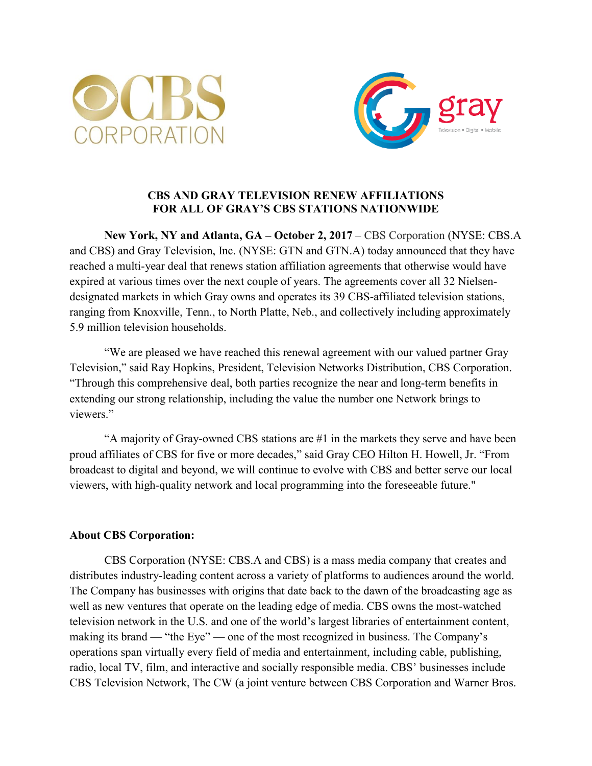



## **CBS AND GRAY TELEVISION RENEW AFFILIATIONS FOR ALL OF GRAY'S CBS STATIONS NATIONWIDE**

**New York, NY and Atlanta, GA – October 2, 2017** – CBS Corporation (NYSE: CBS.A and CBS) and Gray Television, Inc. (NYSE: GTN and GTN.A) today announced that they have reached a multi-year deal that renews station affiliation agreements that otherwise would have expired at various times over the next couple of years. The agreements cover all 32 Nielsendesignated markets in which Gray owns and operates its 39 CBS-affiliated television stations, ranging from Knoxville, Tenn., to North Platte, Neb., and collectively including approximately 5.9 million television households.

"We are pleased we have reached this renewal agreement with our valued partner Gray Television," said Ray Hopkins, President, Television Networks Distribution, CBS Corporation. "Through this comprehensive deal, both parties recognize the near and long-term benefits in extending our strong relationship, including the value the number one Network brings to viewers."

"A majority of Gray-owned CBS stations are #1 in the markets they serve and have been proud affiliates of CBS for five or more decades," said Gray CEO Hilton H. Howell, Jr. "From broadcast to digital and beyond, we will continue to evolve with CBS and better serve our local viewers, with high-quality network and local programming into the foreseeable future."

## **About CBS Corporation:**

CBS Corporation (NYSE: CBS.A and CBS) is a mass media company that creates and distributes industry-leading content across a variety of platforms to audiences around the world. The Company has businesses with origins that date back to the dawn of the broadcasting age as well as new ventures that operate on the leading edge of media. CBS owns the most-watched television network in the U.S. and one of the world's largest libraries of entertainment content, making its brand — "the Eye" — one of the most recognized in business. The Company's operations span virtually every field of media and entertainment, including cable, publishing, radio, local TV, film, and interactive and socially responsible media. CBS' businesses include CBS Television Network, The CW (a joint venture between CBS Corporation and Warner Bros.